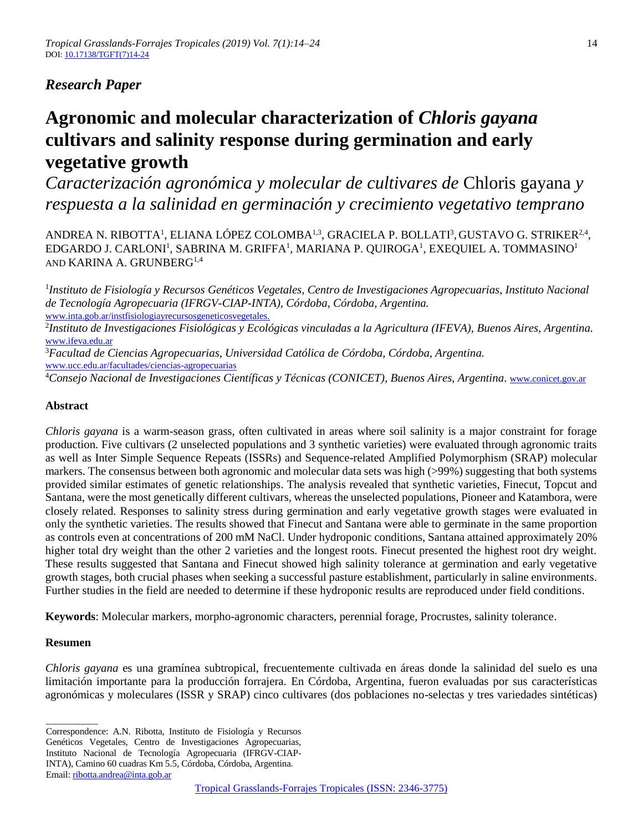# *Research Paper*

# **Agronomic and molecular characterization of** *Chloris gayana*  **cultivars and salinity response during germination and early vegetative growth**

*Caracterización agronómica y molecular de cultivares de* Chloris gayana *y respuesta a la salinidad en germinación y crecimiento vegetativo temprano*

ANDREA N. RIBOTTA<sup>1</sup>, ELIANA LÓPEZ COLOMBA<sup>1,3</sup>, GRACIELA P. BOLLATI<sup>3</sup>, GUSTAVO G. STRIKER<sup>2,4</sup>, EDGARDO J. CARLONI<sup>1</sup>, SABRINA M. GRIFFA<sup>1</sup>, MARIANA P. QUIROGA<sup>1</sup>, EXEQUIEL A. TOMMASINO<sup>1</sup> AND KARINA A. GRUNBERG1,4

<sup>1</sup>Instituto de Fisiología y Recursos Genéticos Vegetales, Centro de Investigaciones Agropecuarias, Instituto Nacional *de Tecnología Agropecuaria (IFRGV-CIAP-INTA), Córdoba, Córdoba, Argentina.*  www.inta.gob.ar/instfisiologiayrecursosgeneticosvegetales.

2 *Instituto de Investigaciones Fisiológicas y Ecológicas vinculadas a la Agricultura (IFEVA), Buenos Aires, Argentina.* [www.ifeva.edu.ar](http://www.ifeva.edu.ar/)

<sup>3</sup>*Facultad de Ciencias Agropecuarias, Universidad Católica de Córdoba, Córdoba, Argentina.* [www.ucc.edu.ar/facultades/ciencias-agropecuarias](http://www.ucc.edu.ar/facultades/ciencias-agropecuarias)

<sup>4</sup>*Consejo Nacional de Investigaciones Científicas y Técnicas (CONICET), Buenos Aires, Argentina*. [www.conicet.gov.ar](http://www.conicet.gov.ar/)

# **Abstract**

*Chloris gayana* is a warm-season grass, often cultivated in areas where soil salinity is a major constraint for forage production. Five cultivars (2 unselected populations and 3 synthetic varieties) were evaluated through agronomic traits as well as Inter Simple Sequence Repeats (ISSRs) and Sequence-related Amplified Polymorphism (SRAP) molecular markers. The consensus between both agronomic and molecular data sets was high (>99%) suggesting that both systems provided similar estimates of genetic relationships. The analysis revealed that synthetic varieties, Finecut, Topcut and Santana, were the most genetically different cultivars, whereas the unselected populations, Pioneer and Katambora, were closely related. Responses to salinity stress during germination and early vegetative growth stages were evaluated in only the synthetic varieties. The results showed that Finecut and Santana were able to germinate in the same proportion as controls even at concentrations of 200 mM NaCl. Under hydroponic conditions, Santana attained approximately 20% higher total dry weight than the other 2 varieties and the longest roots. Finecut presented the highest root dry weight. These results suggested that Santana and Finecut showed high salinity tolerance at germination and early vegetative growth stages, both crucial phases when seeking a successful pasture establishment, particularly in saline environments. Further studies in the field are needed to determine if these hydroponic results are reproduced under field conditions.

**Keywords**: Molecular markers, morpho-agronomic characters, perennial forage, Procrustes, salinity tolerance.

## **Resumen**

*Chloris gayana* es una gramínea subtropical, frecuentemente cultivada en áreas donde la salinidad del suelo es una limitación importante para la producción forrajera. En Córdoba, Argentina, fueron evaluadas por sus características agronómicas y moleculares (ISSR y SRAP) cinco cultivares (dos poblaciones no-selectas y tres variedades sintéticas)

\_\_\_\_\_\_\_\_\_\_\_ Correspondence: A.N. Ribotta, Instituto de Fisiología y Recursos

Genéticos Vegetales, Centro de Investigaciones Agropecuarias,

Instituto Nacional de Tecnología Agropecuaria (IFRGV-CIAP-

INTA), Camino 60 cuadras Km 5.5, Córdoba, Córdoba, Argentina.

Email[: ribotta.andrea@inta.gob.ar](mailto:ribotta.andrea@inta.gob.ar)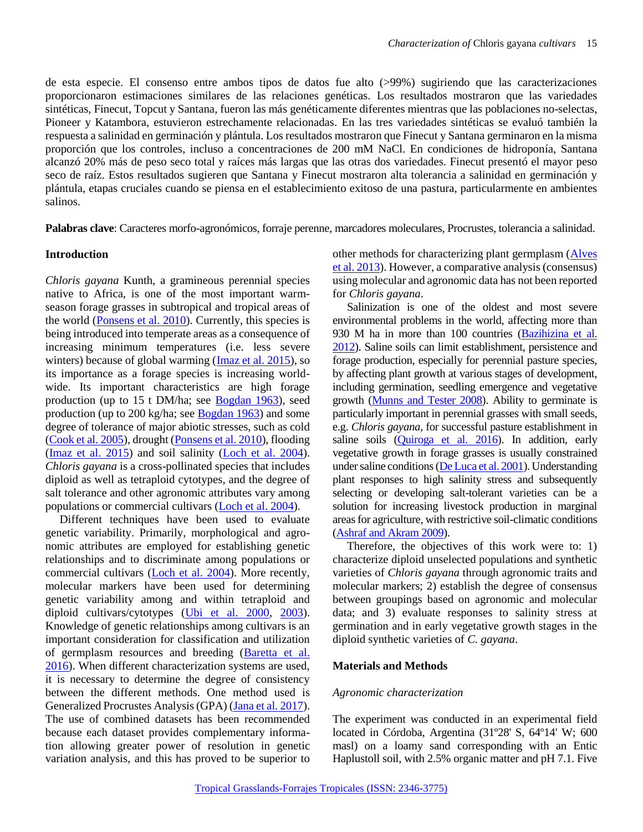de esta especie. El consenso entre ambos tipos de datos fue alto (>99%) sugiriendo que las caracterizaciones proporcionaron estimaciones similares de las relaciones genéticas. Los resultados mostraron que las variedades sintéticas, Finecut, Topcut y Santana, fueron las más genéticamente diferentes mientras que las poblaciones no-selectas, Pioneer y Katambora, estuvieron estrechamente relacionadas. En las tres variedades sintéticas se evaluó también la respuesta a salinidad en germinación y plántula. Los resultados mostraron que Finecut y Santana germinaron en la misma proporción que los controles, incluso a concentraciones de 200 mM NaCl. En condiciones de hidroponía, Santana alcanzó 20% más de peso seco total y raíces más largas que las otras dos variedades. Finecut presentó el mayor peso seco de raíz. Estos resultados sugieren que Santana y Finecut mostraron alta tolerancia a salinidad en germinación y plántula, etapas cruciales cuando se piensa en el establecimiento exitoso de una pastura, particularmente en ambientes salinos.

**Palabras clave**: Caracteres morfo-agronómicos, forraje perenne, marcadores moleculares, Procrustes, tolerancia a salinidad.

#### **Introduction**

*Chloris gayana* Kunth, a gramineous perennial species native to Africa, is one of the most important warmseason forage grasses in subtropical and tropical areas of the world [\(Ponsens et al. 2010\)](#page-10-0). Currently, this species is being introduced into temperate areas as a consequence of increasing minimum temperatures (i.e. less severe winters) because of global warming [\(Imaz et al. 2015\)](#page-9-0), so its importance as a forage species is increasing worldwide. Its important characteristics are high forage production (up to 15 t DM/ha; see [Bogdan 1963\)](#page-9-1), seed production (up to 200 kg/ha; see [Bogdan 1963\)](#page-9-1) and some degree of tolerance of major abiotic stresses, such as cold [\(Cook et al. 2005\)](#page-9-2), drought [\(Ponsens et al. 2010\)](#page-10-0), flooding [\(Imaz et al. 2015\)](#page-9-0) and soil salinity [\(Loch et al. 2004\)](#page-9-3). *Chloris gayana* is a cross-pollinated species that includes diploid as well as tetraploid cytotypes, and the degree of salt tolerance and other agronomic attributes vary among populations or commercial cultivars [\(Loch et al. 2004\)](#page-9-3).

Different techniques have been used to evaluate genetic variability. Primarily, morphological and agronomic attributes are employed for establishing genetic relationships and to discriminate among populations or commercial cultivars [\(Loch et al. 2004\)](#page-9-3). More recently, molecular markers have been used for determining genetic variability among and within tetraploid and diploid cultivars/cytotypes [\(Ubi et al. 2000,](#page-10-1) [2003\)](#page-10-2). Knowledge of genetic relationships among cultivars is an important consideration for classification and utilization of germplasm resources and breeding [\(Baretta et al.](#page-8-0)  [2016\)](#page-8-0). When different characterization systems are used, it is necessary to determine the degree of consistency between the different methods. One method used is Generalized Procrustes Analysis (GPA) [\(Jana et al. 2017\)](#page-9-4). The use of combined datasets has been recommended because each dataset provides complementary information allowing greater power of resolution in genetic variation analysis, and this has proved to be superior to

other methods for characterizing plant germplasm [\(Alves](#page-8-1)  [et al. 2013\)](#page-8-1). However, a comparative analysis (consensus) using molecular and agronomic data has not been reported for *Chloris gayana*.

Salinization is one of the oldest and most severe environmental problems in the world, affecting more than 930 M ha in more than 100 countries [\(Bazihizina et al.](#page-9-5)  [2012\)](#page-9-5). Saline soils can limit establishment, persistence and forage production, especially for perennial pasture species, by affecting plant growth at various stages of development, including germination, seedling emergence and vegetative growth [\(Munns and Tester 2008\)](#page-10-3). Ability to germinate is particularly important in perennial grasses with small seeds, e.g. *Chloris gayana,* for successful pasture establishment in saline soils [\(Quiroga et al. 2016\)](#page-10-4). In addition, early vegetative growth in forage grasses is usually constrained under saline conditions [\(De Luca et al. 2001\)](#page-9-6). Understanding plant responses to high salinity stress and subsequently selecting or developing salt-tolerant varieties can be a solution for increasing livestock production in marginal areas for agriculture, with restrictive soil-climatic conditions [\(Ashraf and Akram 2009\)](#page-8-2).

Therefore, the objectives of this work were to: 1) characterize diploid unselected populations and synthetic varieties of *Chloris gayana* through agronomic traits and molecular markers; 2) establish the degree of consensus between groupings based on agronomic and molecular data; and 3) evaluate responses to salinity stress at germination and in early vegetative growth stages in the diploid synthetic varieties of *C. gayana*.

#### **Materials and Methods**

#### *Agronomic characterization*

The experiment was conducted in an experimental field located in Córdoba, Argentina (31º28' S, 64º14' W; 600 masl) on a loamy sand corresponding with an Entic Haplustoll soil, with 2.5% organic matter and pH 7.1. Five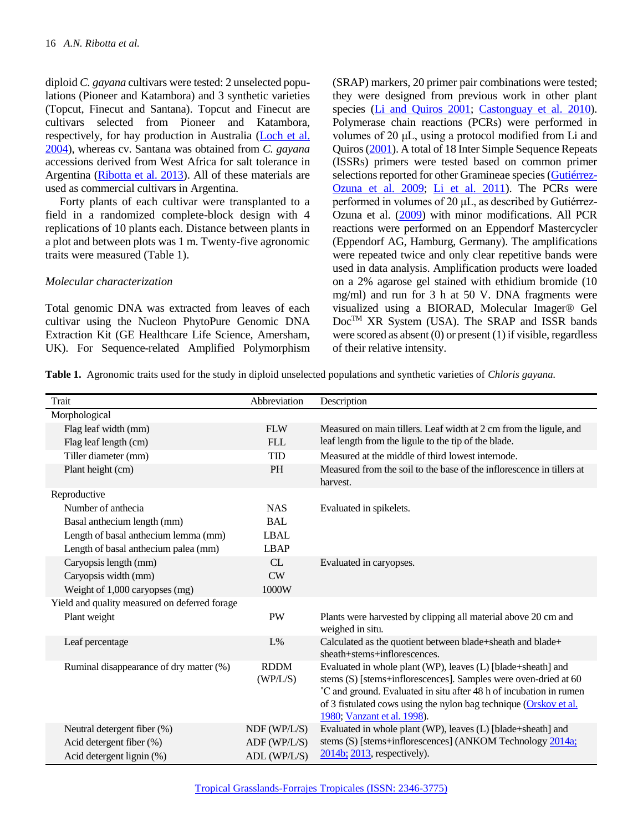diploid *C. gayana* cultivars were tested: 2 unselected populations (Pioneer and Katambora) and 3 synthetic varieties (Topcut, Finecut and Santana). Topcut and Finecut are cultivars selected from Pioneer and Katambora, respectively, for hay production in Australia [\(Loch et al.](#page-9-3)  [2004\)](#page-9-3), whereas cv. Santana was obtained from *C. gayana* accessions derived from West Africa for salt tolerance in Argentina [\(Ribotta et al. 2013\)](#page-10-5). All of these materials are used as commercial cultivars in Argentina.

Forty plants of each cultivar were transplanted to a field in a randomized complete-block design with 4 replications of 10 plants each. Distance between plants in a plot and between plots was 1 m. Twenty-five agronomic traits were measured (Table 1).

#### *Molecular characterization*

Total genomic DNA was extracted from leaves of each cultivar using the Nucleon PhytoPure Genomic DNA Extraction Kit (GE Healthcare Life Science, Amersham, UK). For Sequence-related Amplified Polymorphism (SRAP) markers, 20 primer pair combinations were tested; they were designed from previous work in other plant species [\(Li and Quiros 2001;](#page-9-7) [Castonguay et al.](#page-9-8) 2010). Polymerase chain reactions (PCRs) were performed in volumes of 20 μL, using a protocol modified from Li and Quiros [\(2001\)](#page-9-7). A total of 18 Inter Simple Sequence Repeats (ISSRs) primers were tested based on common primer selections reported for other Gramineae species [\(Gutiérrez-](#page-9-9)[Ozuna et al. 2009;](#page-9-9) [Li et al. 2011\)](#page-9-10). The PCRs were performed in volumes of 20 μL, as described by Gutiérrez-Ozuna et al. [\(2009\)](#page-9-9) with minor modifications. All PCR reactions were performed on an Eppendorf Mastercycler (Eppendorf AG, Hamburg, Germany). The amplifications were repeated twice and only clear repetitive bands were used in data analysis. Amplification products were loaded on a 2% agarose gel stained with ethidium bromide (10 mg/ml) and run for 3 h at 50 V. DNA fragments were visualized using a BIORAD, Molecular Imager® Gel Doc<sup>TM</sup> XR System (USA). The SRAP and ISSR bands were scored as absent (0) or present (1) if visible, regardless of their relative intensity.

**Table 1.** Agronomic traits used for the study in diploid unselected populations and synthetic varieties of *Chloris gayana.*

| Trait                                                                                | Abbreviation                                 | Description                                                                                                                                                                                                                                                                                               |
|--------------------------------------------------------------------------------------|----------------------------------------------|-----------------------------------------------------------------------------------------------------------------------------------------------------------------------------------------------------------------------------------------------------------------------------------------------------------|
| Morphological                                                                        |                                              |                                                                                                                                                                                                                                                                                                           |
| Flag leaf width (mm)                                                                 | <b>FLW</b>                                   | Measured on main tillers. Leaf width at 2 cm from the ligule, and                                                                                                                                                                                                                                         |
| Flag leaf length (cm)                                                                | <b>FLL</b>                                   | leaf length from the ligule to the tip of the blade.                                                                                                                                                                                                                                                      |
| Tiller diameter (mm)                                                                 | <b>TID</b>                                   | Measured at the middle of third lowest internode.                                                                                                                                                                                                                                                         |
| Plant height (cm)                                                                    | <b>PH</b>                                    | Measured from the soil to the base of the inflorescence in tillers at<br>harvest.                                                                                                                                                                                                                         |
| Reproductive                                                                         |                                              |                                                                                                                                                                                                                                                                                                           |
| Number of anthecia                                                                   | <b>NAS</b>                                   | Evaluated in spikelets.                                                                                                                                                                                                                                                                                   |
| Basal anthecium length (mm)                                                          | <b>BAL</b>                                   |                                                                                                                                                                                                                                                                                                           |
| Length of basal anthecium lemma (mm)                                                 | <b>LBAL</b>                                  |                                                                                                                                                                                                                                                                                                           |
| Length of basal anthecium palea (mm)                                                 | <b>LBAP</b>                                  |                                                                                                                                                                                                                                                                                                           |
| Caryopsis length (mm)                                                                | CL                                           | Evaluated in caryopses.                                                                                                                                                                                                                                                                                   |
| Caryopsis width (mm)                                                                 | CW                                           |                                                                                                                                                                                                                                                                                                           |
| Weight of 1,000 caryopses (mg)                                                       | 1000W                                        |                                                                                                                                                                                                                                                                                                           |
| Yield and quality measured on deferred forage                                        |                                              |                                                                                                                                                                                                                                                                                                           |
| Plant weight                                                                         | PW                                           | Plants were harvested by clipping all material above 20 cm and<br>weighed in situ.                                                                                                                                                                                                                        |
| Leaf percentage                                                                      | L%                                           | Calculated as the quotient between blade+sheath and blade+<br>sheath+stems+inflorescences.                                                                                                                                                                                                                |
| Ruminal disappearance of dry matter (%)                                              | <b>RDDM</b><br>(WP/L/S)                      | Evaluated in whole plant (WP), leaves (L) [blade+sheath] and<br>stems (S) [stems+inflorescences]. Samples were oven-dried at 60<br>°C and ground. Evaluated in situ after 48 h of incubation in rumen<br>of 3 fistulated cows using the nylon bag technique (Orskov et al.<br>1980; Vanzant et al. 1998). |
| Neutral detergent fiber (%)<br>Acid detergent fiber (%)<br>Acid detergent lignin (%) | NDF (WP/L/S)<br>ADF (WP/L/S)<br>ADL (WP/L/S) | Evaluated in whole plant (WP), leaves (L) [blade+sheath] and<br>stems (S) [stems+inflorescences] (ANKOM Technology 2014a;<br>2014b; 2013, respectively).                                                                                                                                                  |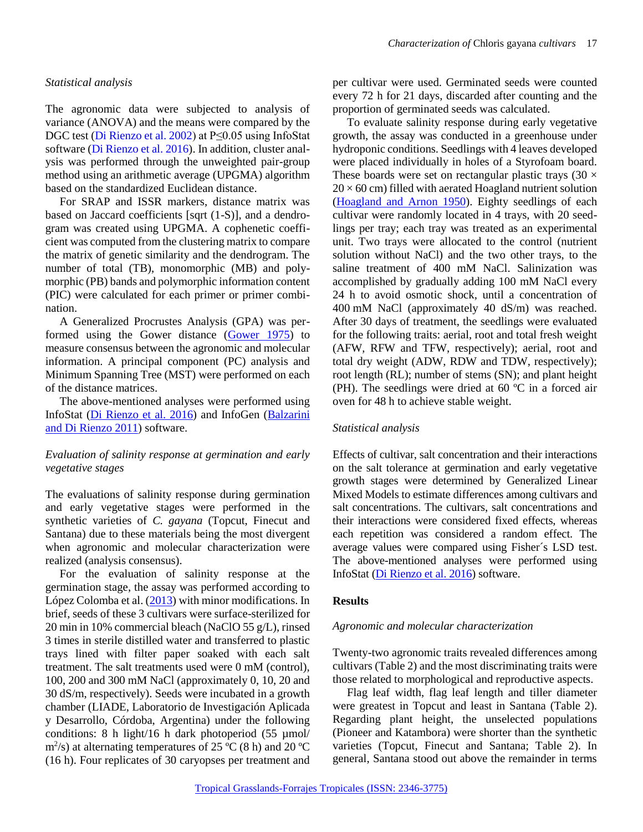#### *Statistical analysis*

The agronomic data were subjected to analysis of variance (ANOVA) and the means were compared by the DGC test (Di Rienzo et al. 2002) at P≤0.05 using InfoStat software (Di Rienzo et al. 2016). In addition, cluster analysis was performed through the unweighted pair-group method using an arithmetic average (UPGMA) algorithm based on the standardized Euclidean distance.

For SRAP and ISSR markers, distance matrix was based on Jaccard coefficients [sqrt (1-S)], and a dendrogram was created using UPGMA. A cophenetic coefficient was computed from the clustering matrix to compare the matrix of genetic similarity and the dendrogram. The number of total (TB), monomorphic (MB) and polymorphic (PB) bands and polymorphic information content (PIC) were calculated for each primer or primer combination.

A Generalized Procrustes Analysis (GPA) was performed using the Gower distance [\(Gower 1975\)](#page-9-11) to measure consensus between the agronomic and molecular information. A principal component (PC) analysis and Minimum Spanning Tree (MST) were performed on each of the distance matrices.

The above-mentioned analyses were performed using InfoStat [\(Di Rienzo et al.](#page-9-12) 2016) and InfoGen [\(Balzarini](#page-8-6)  [and Di Rienzo 2011\)](#page-8-6) software.

#### *Evaluation of salinity response at germination and early vegetative stages*

The evaluations of salinity response during germination and early vegetative stages were performed in the synthetic varieties of *C. gayana* (Topcut, Finecut and Santana) due to these materials being the most divergent when agronomic and molecular characterization were realized (analysis consensus).

For the evaluation of salinity response at the germination stage, the assay was performed according to López Colomba et al. [\(2013\)](#page-10-8) with minor modifications. In brief, seeds of these 3 cultivars were surface-sterilized for 20 min in 10% commercial bleach (NaClO 55 g/L), rinsed 3 times in sterile distilled water and transferred to plastic trays lined with filter paper soaked with each salt treatment. The salt treatments used were 0 mM (control), 100, 200 and 300 mM NaCl (approximately 0, 10, 20 and 30 dS/m, respectively). Seeds were incubated in a growth chamber (LIADE, Laboratorio de Investigación Aplicada y Desarrollo, Córdoba, Argentina) under the following conditions: 8 h light/16 h dark photoperiod (55 µmol/ m<sup>2</sup>/s) at alternating temperatures of 25 °C (8 h) and 20 °C (16 h). Four replicates of 30 caryopses per treatment and

per cultivar were used. Germinated seeds were counted every 72 h for 21 days, discarded after counting and the proportion of germinated seeds was calculated.

To evaluate salinity response during early vegetative growth, the assay was conducted in a greenhouse under hydroponic conditions. Seedlings with 4 leaves developed were placed individually in holes of a Styrofoam board. These boards were set on rectangular plastic trays  $(30 \times$  $20 \times 60$  cm) filled with aerated Hoagland nutrient solution [\(Hoagland and Arnon 1950\)](#page-9-13). Eighty seedlings of each cultivar were randomly located in 4 trays, with 20 seedlings per tray; each tray was treated as an experimental unit. Two trays were allocated to the control (nutrient solution without NaCl) and the two other trays, to the saline treatment of 400 mM NaCl. Salinization was accomplished by gradually adding 100 mM NaCl every 24 h to avoid osmotic shock, until a concentration of 400 mM NaCl (approximately 40 dS/m) was reached. After 30 days of treatment, the seedlings were evaluated for the following traits: aerial, root and total fresh weight (AFW, RFW and TFW, respectively); aerial, root and total dry weight (ADW, RDW and TDW, respectively); root length (RL); number of stems (SN); and plant height (PH). The seedlings were dried at 60 ºC in a forced air oven for 48 h to achieve stable weight.

## *Statistical analysis*

Effects of cultivar, salt concentration and their interactions on the salt tolerance at germination and early vegetative growth stages were determined by Generalized Linear Mixed Models to estimate differences among cultivars and salt concentrations. The cultivars, salt concentrations and their interactions were considered fixed effects, whereas each repetition was considered a random effect. The average values were compared using Fisher´s LSD test. The above-mentioned analyses were performed using InfoStat [\(Di Rienzo et al.](#page-9-12) 2016) software.

## **Results**

#### *Agronomic and molecular characterization*

Twenty-two agronomic traits revealed differences among cultivars (Table 2) and the most discriminating traits were those related to morphological and reproductive aspects.

Flag leaf width, flag leaf length and tiller diameter were greatest in Topcut and least in Santana (Table 2). Regarding plant height, the unselected populations (Pioneer and Katambora) were shorter than the synthetic varieties (Topcut, Finecut and Santana; Table 2). In general, Santana stood out above the remainder in terms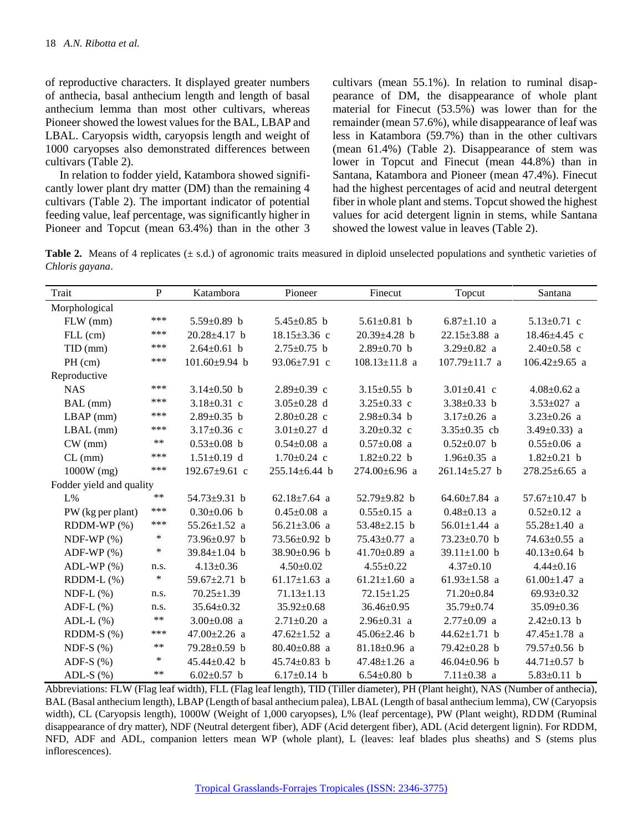of reproductive characters. It displayed greater numbers of anthecia, basal anthecium length and length of basal anthecium lemma than most other cultivars, whereas Pioneer showed the lowest values for the BAL, LBAP and LBAL. Caryopsis width, caryopsis length and weight of 1000 caryopses also demonstrated differences between cultivars (Table 2).

In relation to fodder yield, Katambora showed significantly lower plant dry matter (DM) than the remaining 4 cultivars (Table 2). The important indicator of potential feeding value, leaf percentage, was significantly higher in Pioneer and Topcut (mean 63.4%) than in the other 3 cultivars (mean 55.1%). In relation to ruminal disappearance of DM, the disappearance of whole plant material for Finecut (53.5%) was lower than for the remainder (mean 57.6%), while disappearance of leaf was less in Katambora (59.7%) than in the other cultivars (mean 61.4%) (Table 2). Disappearance of stem was lower in Topcut and Finecut (mean 44.8%) than in Santana, Katambora and Pioneer (mean 47.4%). Finecut had the highest percentages of acid and neutral detergent fiber in whole plant and stems. Topcut showed the highest values for acid detergent lignin in stems, while Santana showed the lowest value in leaves (Table 2).

**Table 2.** Means of 4 replicates ( $\pm$  s.d.) of agronomic traits measured in diploid unselected populations and synthetic varieties of *Chloris gayana*.

| Trait                    | P          | Katambora           | Pioneer             | Finecut             | Topcut              | Santana             |
|--------------------------|------------|---------------------|---------------------|---------------------|---------------------|---------------------|
| Morphological            |            |                     |                     |                     |                     |                     |
| $FLW$ (mm)               | ***        | $5.59 \pm 0.89$ b   | 5.45 $\pm$ 0.85 b   | 5.61 $\pm$ 0.81 b   | $6.87 \pm 1.10$ a   | $5.13 \pm 0.71$ c   |
| $FLL$ (cm)               | ***        | $20.28 \pm 4.17$ b  | $18.15 \pm 3.36$ c  | $20.39 \pm 4.28$ b  | $22.15 \pm 3.88$ a  | $18.46{\pm}4.45$ c  |
| $TID$ (mm)               | ***        | $2.64 \pm 0.61$ b   | $2.75 \pm 0.75$ b   | $2.89 \pm 0.70$ b   | $3.29 \pm 0.82$ a   | $2.40 \pm 0.58$ c   |
| $PH$ (cm)                | ***        | $101.60 \pm 9.94$ b | $93.06 \pm 7.91$ c  | $108.13 \pm 11.8$ a | $107.79 \pm 11.7$ a | $106.42 \pm 9.65$ a |
| Reproductive             |            |                     |                     |                     |                     |                     |
| <b>NAS</b>               | ***        | $3.14 \pm 0.50$ b   | $2.89 \pm 0.39$ c   | 3.15 $\pm$ 0.55 b   | 3.01 $\pm$ 0.41 c   | $4.08 \pm 0.62$ a   |
| BAL (mm)                 | ***        | $3.18 \pm 0.31$ c   | $3.05 \pm 0.28$ d   | 3.25 $\pm$ 0.33 c   | $3.38 \pm 0.33$ b   | $3.53 \pm 027$ a    |
| $LBAP$ (mm)              | ***        | $2.89 \pm 0.35$ b   | $2.80 \pm 0.28$ c   | $2.98 \pm 0.34$ b   | $3.17 \pm 0.26$ a   | $3.23 \pm 0.26$ a   |
| $LBAL$ (mm)              | ***        | 3.17 $\pm$ 0.36 c   | $3.01 \pm 0.27$ d   | $3.20 \pm 0.32$ c   | 3.35 $\pm$ 0.35 cb  | 3.49 $\pm$ 0.33) a  |
| $CW$ (mm)                | $***$      | $0.53 \pm 0.08$ b   | $0.54 \pm 0.08$ a   | $0.57 \pm 0.08$ a   | $0.52 \pm 0.07$ b   | $0.55 \pm 0.06$ a   |
| $CL$ (mm)                | ***        | $1.51 \pm 0.19$ d   | $1.70 \pm 0.24$ c   | $1.82 \pm 0.22$ b   | $1.96 \pm 0.35$ a   | $1.82 \pm 0.21$ b   |
| $1000W$ (mg)             | ***        | $192.67 \pm 9.61$ c | $255.14 \pm 6.44$ b | $274.00 \pm 6.96$ a | $261.14 \pm 5.27$ b | $278.25 \pm 6.65$ a |
| Fodder yield and quality |            |                     |                     |                     |                     |                     |
| $L\%$                    | $***$      | 54.73 $\pm$ 9.31 b  | $62.18 \pm 7.64$ a  | 52.79 $\pm$ 9.82 b  | $64.60 \pm 7.84$ a  | 57.67 $\pm$ 10.47 b |
| PW (kg per plant)        | ***        | $0.30\pm0.06$ b     | $0.45 \pm 0.08$ a   | $0.55 \pm 0.15$ a   | $0.48 \pm 0.13$ a   | $0.52 \pm 0.12$ a   |
| $RDDM-WP$ $(\%)$         | ***        | $55.26 \pm 1.52$ a  | 56.21 $\pm$ 3.06 a  | 53.48 $\pm$ 2.15 b  | $56.01 \pm 1.44$ a  | $55.28 \pm 1.40$ a  |
| NDF-WP $(\%)$            | $\ast$     | $73.96 \pm 0.97$ b  | $73.56 \pm 0.92$ b  | $75.43 \pm 0.77$ a  | $73.23 \pm 0.70$ b  | $74.63 \pm 0.55$ a  |
| ADF-WP $(\%)$            | $\ast$     | 39.84±1.04 b        | $38.90 \pm 0.96$ b  | 41.70 $\pm$ 0.89 a  | 39.11 $\pm$ 1.00 b  | 40.13 $\pm$ 0.64 b  |
| $ADL-WP$ $(\%)$          | n.s.       | $4.13 \pm 0.36$     | $4.50 \pm 0.02$     | $4.55 \pm 0.22$     | $4.37 \pm 0.10$     | $4.44 \pm 0.16$     |
| $RDDM-L$ $(\%)$          | $\ast$     | 59.67 $\pm$ 2.71 b  | $61.17 \pm 1.63$ a  | $61.21 \pm 1.60$ a  | $61.93 \pm 1.58$ a  | $61.00 \pm 1.47$ a  |
| NDF-L $(\%)$             | n.s.       | $70.25 \pm 1.39$    | $71.13 \pm 1.13$    | $72.15 \pm 1.25$    | $71.20 \pm 0.84$    | 69.93±0.32          |
| ADF-L $(\% )$            | n.s.       | $35.64 \pm 0.32$    | $35.92 \pm 0.68$    | $36.46 \pm 0.95$    | $35.79 \pm 0.74$    | 35.09±0.36          |
| ADL-L $(\%)$             | $***$      | $3.00 \pm 0.08$ a   | $2.71 \pm 0.20$ a   | $2.96 \pm 0.31$ a   | $2.77 \pm 0.09$ a   | $2.42 \pm 0.13$ b   |
| RDDM-S $(\%)$            | ***        | $47.00 \pm 2.26$ a  | $47.62 \pm 1.52$ a  | $45.06 \pm 2.46$ b  | $44.62 \pm 1.71$ b  | $47.45 \pm 1.78$ a  |
| NDF-S $(%)$              | $\ast\ast$ | $79.28 \pm 0.59$ b  | $80.40 \pm 0.88$ a  | $81.18 \pm 0.96$ a  | $79.42 \pm 0.28$ b  | $79.57 \pm 0.56$ b  |
| ADF-S $(%)$              | $\ast$     | $45.44 \pm 0.42$ b  | $45.74 \pm 0.83$ b  | $47.48 \pm 1.26$ a  | $46.04 \pm 0.96$ b  | 44.71 $\pm$ 0.57 b  |
| ADL-S $(\%)$             | $***$      | $6.02 \pm 0.57$ b   | $6.17 \pm 0.14$ b   | $6.54 \pm 0.80$ b   | $7.11 \pm 0.38$ a   | $5.83 \pm 0.11$ b   |

Abbreviations: FLW (Flag leaf width), FLL (Flag leaf length), TID (Tiller diameter), PH (Plant height), NAS (Number of anthecia), BAL (Basal anthecium length), LBAP (Length of basal anthecium palea), LBAL (Length of basal anthecium lemma), CW (Caryopsis width), CL (Caryopsis length), 1000W (Weight of 1,000 caryopses), L% (leaf percentage), PW (Plant weight), RDDM (Ruminal disappearance of dry matter), NDF (Neutral detergent fiber), ADF (Acid detergent fiber), ADL (Acid detergent lignin). For RDDM, NFD, ADF and ADL, companion letters mean WP (whole plant), L (leaves: leaf blades plus sheaths) and S (stems plus inflorescences).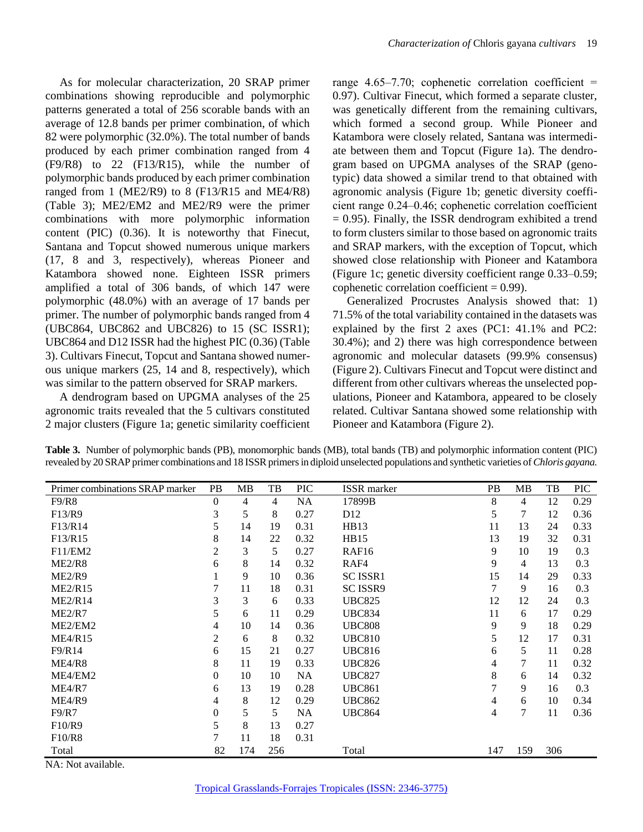As for molecular characterization, 20 SRAP primer combinations showing reproducible and polymorphic patterns generated a total of 256 scorable bands with an average of 12.8 bands per primer combination, of which 82 were polymorphic (32.0%). The total number of bands produced by each primer combination ranged from 4 (F9/R8) to 22 (F13/R15), while the number of polymorphic bands produced by each primer combination ranged from 1 (ME2/R9) to 8 (F13/R15 and ME4/R8) (Table 3); ME2/EM2 and ME2/R9 were the primer combinations with more polymorphic information content (PIC) (0.36). It is noteworthy that Finecut, Santana and Topcut showed numerous unique markers (17, 8 and 3, respectively), whereas Pioneer and Katambora showed none. Eighteen ISSR primers amplified a total of 306 bands, of which 147 were polymorphic (48.0%) with an average of 17 bands per primer. The number of polymorphic bands ranged from 4 (UBC864, UBC862 and UBC826) to 15 (SC ISSR1); UBC864 and D12 ISSR had the highest PIC (0.36) (Table 3). Cultivars Finecut, Topcut and Santana showed numerous unique markers (25, 14 and 8, respectively), which was similar to the pattern observed for SRAP markers.

A dendrogram based on UPGMA analyses of the 25 agronomic traits revealed that the 5 cultivars constituted 2 major clusters (Figure 1a; genetic similarity coefficient

range  $4.65-7.70$ ; cophenetic correlation coefficient = 0.97). Cultivar Finecut, which formed a separate cluster, was genetically different from the remaining cultivars, which formed a second group. While Pioneer and Katambora were closely related, Santana was intermediate between them and Topcut (Figure 1a). The dendrogram based on UPGMA analyses of the SRAP (genotypic) data showed a similar trend to that obtained with agronomic analysis (Figure 1b; genetic diversity coefficient range 0.24‒0.46; cophenetic correlation coefficient  $= 0.95$ ). Finally, the ISSR dendrogram exhibited a trend to form clusters similar to those based on agronomic traits and SRAP markers, with the exception of Topcut, which showed close relationship with Pioneer and Katambora (Figure 1c; genetic diversity coefficient range 0.33‒0.59; cophenetic correlation coefficient  $= 0.99$ ).

Generalized Procrustes Analysis showed that: 1) 71.5% of the total variability contained in the datasets was explained by the first 2 axes (PC1: 41.1% and PC2: 30.4%); and 2) there was high correspondence between agronomic and molecular datasets (99.9% consensus) (Figure 2). Cultivars Finecut and Topcut were distinct and different from other cultivars whereas the unselected populations, Pioneer and Katambora, appeared to be closely related. Cultivar Santana showed some relationship with Pioneer and Katambora (Figure 2).

**Table 3.** Number of polymorphic bands (PB), monomorphic bands (MB), total bands (TB) and polymorphic information content (PIC) revealed by 20 SRAP primer combinations and 18 ISSR primers in diploid unselected populations and synthetic varieties of *Chloris gayana.*

| Primer combinations SRAP marker | PB.      | MВ  | TB  | <b>PIC</b> | <b>ISSR</b> marker | <b>PB</b> | MВ             | TB  | <b>PIC</b> |
|---------------------------------|----------|-----|-----|------------|--------------------|-----------|----------------|-----|------------|
| F9/R8                           | $\theta$ | 4   | 4   | <b>NA</b>  | 17899B             | 8         | $\overline{4}$ | 12  | 0.29       |
| F13/R9                          | 3        | 5   | 8   | 0.27       | D <sub>12</sub>    | 5         | 7              | 12  | 0.36       |
| F13/R14                         | 5        | 14  | 19  | 0.31       | HB13               | 11        | 13             | 24  | 0.33       |
| F13/R15                         | 8        | 14  | 22  | 0.32       | HB15               | 13        | 19             | 32  | 0.31       |
| F11/EM2                         | 2        | 3   | 5   | 0.27       | RAF <sub>16</sub>  | 9         | 10             | 19  | 0.3        |
| ME2/R8                          | 6        | 8   | 14  | 0.32       | RAF4               | 9         | $\overline{4}$ | 13  | 0.3        |
| ME2/R9                          |          | 9   | 10  | 0.36       | <b>SC ISSR1</b>    | 15        | 14             | 29  | 0.33       |
| ME2/R15                         |          | 11  | 18  | 0.31       | SC ISSR9           | 7         | 9              | 16  | 0.3        |
| ME2/R14                         | 3        | 3   | 6   | 0.33       | <b>UBC825</b>      | 12        | 12             | 24  | 0.3        |
| ME2/R7                          | 5        | 6   | 11  | 0.29       | <b>UBC834</b>      | 11        | 6              | 17  | 0.29       |
| ME2/EM2                         | 4        | 10  | 14  | 0.36       | <b>UBC808</b>      | 9         | 9              | 18  | 0.29       |
| <b>ME4/R15</b>                  | 2        | 6   | 8   | 0.32       | <b>UBC810</b>      | 5         | 12             | 17  | 0.31       |
| F9/R14                          | 6        | 15  | 21  | 0.27       | <b>UBC816</b>      | 6         | 5              | 11  | 0.28       |
| ME4/R8                          | 8        | 11  | 19  | 0.33       | <b>UBC826</b>      | 4         | 7              | 11  | 0.32       |
| ME4/EM2                         | $\theta$ | 10  | 10  | <b>NA</b>  | <b>UBC827</b>      | 8         | 6              | 14  | 0.32       |
| ME4/R7                          | 6        | 13  | 19  | 0.28       | <b>UBC861</b>      | 7         | 9              | 16  | 0.3        |
| ME4/R9                          | 4        | 8   | 12  | 0.29       | <b>UBC862</b>      | 4         | 6              | 10  | 0.34       |
| F9/R7                           | 0        | 5   | 5   | <b>NA</b>  | <b>UBC864</b>      | 4         | 7              | 11  | 0.36       |
| F10/R9                          | 5        | 8   | 13  | 0.27       |                    |           |                |     |            |
| F10/R8                          | 7        | 11  | 18  | 0.31       |                    |           |                |     |            |
| Total                           | 82       | 174 | 256 |            | Total              | 147       | 159            | 306 |            |

NA: Not available.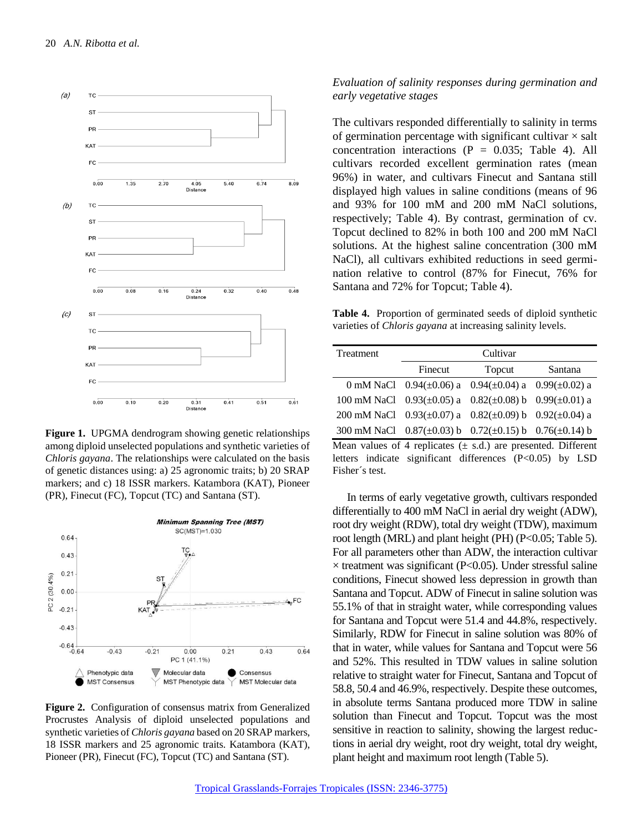

**Figure 1.** UPGMA dendrogram showing genetic relationships among diploid unselected populations and synthetic varieties of *Chloris gayana*. The relationships were calculated on the basis of genetic distances using: a) 25 agronomic traits; b) 20 SRAP markers; and c) 18 ISSR markers. Katambora (KAT), Pioneer (PR), Finecut (FC), Topcut (TC) and Santana (ST).



**Figure 2.** Configuration of consensus matrix from Generalized Procrustes Analysis of diploid unselected populations and synthetic varieties of *Chloris gayana* based on 20 SRAP markers, 18 ISSR markers and 25 agronomic traits. Katambora (KAT), Pioneer (PR), Finecut (FC), Topcut (TC) and Santana (ST).

#### *Evaluation of salinity responses during germination and early vegetative stages*

The cultivars responded differentially to salinity in terms of germination percentage with significant cultivar  $\times$  salt concentration interactions ( $P = 0.035$ ; Table 4). All cultivars recorded excellent germination rates (mean 96%) in water, and cultivars Finecut and Santana still displayed high values in saline conditions (means of 96 and 93% for 100 mM and 200 mM NaCl solutions, respectively; Table 4). By contrast, germination of cv. Topcut declined to 82% in both 100 and 200 mM NaCl solutions. At the highest saline concentration (300 mM NaCl), all cultivars exhibited reductions in seed germination relative to control (87% for Finecut, 76% for Santana and 72% for Topcut; Table 4).

**Table 4.** Proportion of germinated seeds of diploid synthetic varieties of *Chloris gayana* at increasing salinity levels.

| Treatment                                                            | Cultivar                      |                                       |         |  |  |  |  |
|----------------------------------------------------------------------|-------------------------------|---------------------------------------|---------|--|--|--|--|
|                                                                      | Finecut                       | Topcut                                | Santana |  |  |  |  |
|                                                                      | 0 mM NaCl 0.94( $\pm$ 0.06) a | $0.94(\pm 0.04)$ a $0.99(\pm 0.02)$ a |         |  |  |  |  |
| 100 mM NaCl $0.93(\pm 0.05)$ a                                       |                               | $0.82(\pm 0.08)$ b $0.99(\pm 0.01)$ a |         |  |  |  |  |
| 200 mM NaCl $0.93(\pm 0.07)$ a                                       |                               | $0.82(\pm 0.09)$ b $0.92(\pm 0.04)$ a |         |  |  |  |  |
| 300 mM NaCl $0.87(\pm 0.03)$ b $0.72(\pm 0.15)$ b $0.76(\pm 0.14)$ b |                               |                                       |         |  |  |  |  |
| Mean values of 4 replicates $(\pm s.d.)$ are presented. Different    |                               |                                       |         |  |  |  |  |
| letters indicate significant differences (P<0.05) by LSD             |                               |                                       |         |  |  |  |  |
| Fisher's test.                                                       |                               |                                       |         |  |  |  |  |

In terms of early vegetative growth*,* cultivars responded differentially to 400 mM NaCl in aerial dry weight (ADW), root dry weight (RDW), total dry weight (TDW), maximum root length (MRL) and plant height (PH) (P<0.05; Table 5). For all parameters other than ADW, the interaction cultivar  $\times$  treatment was significant (P<0.05). Under stressful saline conditions, Finecut showed less depression in growth than Santana and Topcut. ADW of Finecut in saline solution was 55.1% of that in straight water, while corresponding values for Santana and Topcut were 51.4 and 44.8%, respectively. Similarly, RDW for Finecut in saline solution was 80% of that in water, while values for Santana and Topcut were 56 and 52%. This resulted in TDW values in saline solution relative to straight water for Finecut, Santana and Topcut of 58.8, 50.4 and 46.9%, respectively. Despite these outcomes, in absolute terms Santana produced more TDW in saline solution than Finecut and Topcut. Topcut was the most sensitive in reaction to salinity, showing the largest reductions in aerial dry weight, root dry weight, total dry weight, plant height and maximum root length (Table 5).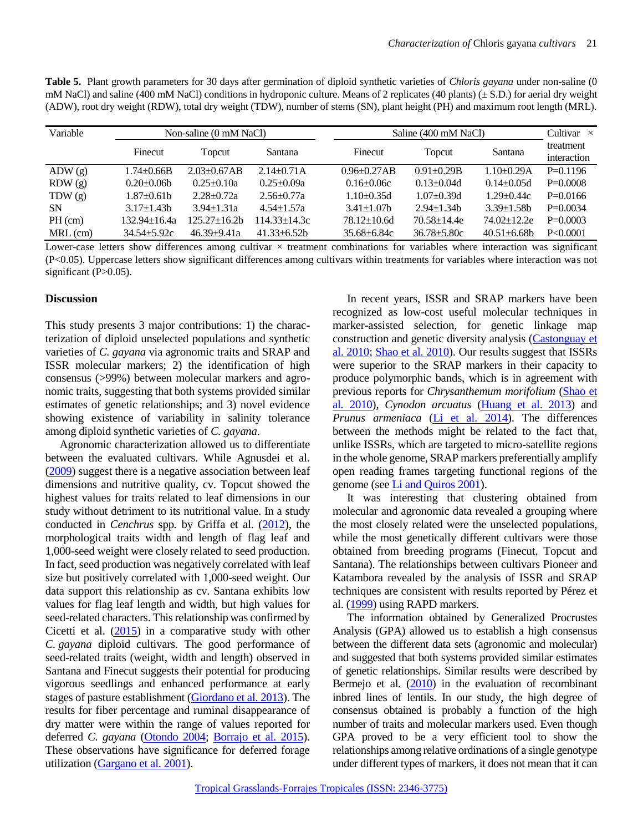| Table 5. Plant growth parameters for 30 days after germination of diploid synthetic varieties of <i>Chloris gayana</i> under non-saline (0) |
|---------------------------------------------------------------------------------------------------------------------------------------------|
| mM NaCl) and saline (400 mM NaCl) conditions in hydroponic culture. Means of 2 replicates (40 plants) ( $\pm$ S.D.) for aerial dry weight   |
| (ADW), root dry weight (RDW), total dry weight (TDW), number of stems (SN), plant height (PH) and maximum root length (MRL).                |
|                                                                                                                                             |

| Variable   | Non-saline (0 mM NaCl) |                    |                 |                   | Saline (400 mM NaCl) |                   |             |  |
|------------|------------------------|--------------------|-----------------|-------------------|----------------------|-------------------|-------------|--|
|            | Finecut                | Topcut             | Santana         | Finecut           | Santana<br>Topcut    |                   | treatment   |  |
|            |                        |                    |                 |                   |                      |                   | interaction |  |
| ADW(g)     | $1.74 \pm 0.66B$       | $2.03 \pm 0.67AB$  | $2.14 + 0.71A$  | $0.96 \pm 0.27AB$ | $0.91 + 0.29B$       | $1.10+0.29A$      | $P=0.1196$  |  |
| RDW(g)     | $0.20 \pm 0.06b$       | $0.25 \pm 0.10a$   | $0.25 + 0.09a$  | $0.16 \pm 0.06c$  | $0.13 \pm 0.04d$     | $0.14 \pm 0.05d$  | $P=0.0008$  |  |
| TDW(g)     | $1.87 \pm 0.61$ b      | $2.28 + 0.72a$     | $2.56 + 0.77a$  | $1.10\pm0.35d$    | $1.07 \pm 0.39$ d    | $1.29 \pm 0.44c$  | $P=0.0166$  |  |
| <b>SN</b>  | $3.17 \pm 1.43$ b      | $3.94 \pm 1.31a$   | $4.54 + 1.57a$  | $3.41 \pm 1.07$   | $2.94 + 1.34$        | $3.39 \pm 1.58$   | $P=0.0034$  |  |
| $PH$ (cm)  | 132.94±16.4a           | $125.27 \pm 16.2h$ | 114.33+14.3c    | $78.12 \pm 10.6d$ | $70.58 \pm 14.4e$    | $74.02 \pm 12.2e$ | $P=0.0003$  |  |
| $MRL$ (cm) | $34.54 + 5.92c$        | $46.39 + 9.41a$    | $41.33 + 6.52h$ | $35.68 \pm 6.84c$ | $36.78 + 5.80c$      | $40.51 + 6.68$ h  | P < 0.0001  |  |

Lower-case letters show differences among cultivar  $\times$  treatment combinations for variables where interaction was significant (P<0.05). Uppercase letters show significant differences among cultivars within treatments for variables where interaction was not significant (P>0.05).

## **Discussion**

This study presents 3 major contributions: 1) the characterization of diploid unselected populations and synthetic varieties of *C. gayana* via agronomic traits and SRAP and ISSR molecular markers; 2) the identification of high consensus (>99%) between molecular markers and agronomic traits, suggesting that both systems provided similar estimates of genetic relationships; and 3) novel evidence showing existence of variability in salinity tolerance among diploid synthetic varieties of *C. gayana*.

Agronomic characterization allowed us to differentiate between the evaluated cultivars. While Agnusdei et al. [\(2009\)](#page-8-7) suggest there is a negative association between leaf dimensions and nutritive quality, cv. Topcut showed the highest values for traits related to leaf dimensions in our study without detriment to its nutritional value. In a study conducted in *Cenchrus* spp. by Griffa et al. [\(2012\)](#page-9-14), the morphological traits width and length of flag leaf and 1,000-seed weight were closely related to seed production. In fact, seed production was negatively correlated with leaf size but positively correlated with 1,000-seed weight. Our data support this relationship as cv. Santana exhibits low values for flag leaf length and width, but high values for seed-related characters. This relationship was confirmed by Cicetti et al. [\(2015\)](#page-9-15) in a comparative study with other *C. gayana* diploid cultivars. The good performance of seed-related traits (weight, width and length) observed in Santana and Finecut suggests their potential for producing vigorous seedlings and enhanced performance at early stages of pasture establishment [\(Giordano et al. 2013\)](#page-9-16). The results for fiber percentage and ruminal disappearance of dry matter were within the range of values reported for deferred *C. gayana* [\(Otondo 2004;](#page-10-9) [Borrajo et al. 2015\)](#page-9-17). These observations have significance for deferred forage utilization [\(Gargano et al. 2001\)](#page-9-18).

In recent years, ISSR and SRAP markers have been recognized as low-cost useful molecular techniques in marker-assisted selection, for genetic linkage map construction and genetic diversity analysis [\(Castonguay](#page-9-8) et [al. 2010;](#page-9-8) [Shao et al](#page-10-10)*.* 2010). Our results suggest that ISSRs were superior to the SRAP markers in their capacity to produce polymorphic bands, which is in agreement with previous reports for *Chrysanthemum morifolium* [\(Shao et](#page-10-10)  al*.* [2010\)](#page-10-10), *Cynodon arcuatus* [\(Huang et al. 2013\)](#page-9-19) and *Prunus armeniaca* [\(Li et al. 2014\)](#page-9-20). The differences between the methods might be related to the fact that, unlike ISSRs, which are targeted to micro-satellite regions in the whole genome, SRAP markers preferentially amplify open reading frames targeting functional regions of the genome (se[e Li and Quiros 2001\)](#page-9-7).

It was interesting that clustering obtained from molecular and agronomic data revealed a grouping where the most closely related were the unselected populations, while the most genetically different cultivars were those obtained from breeding programs (Finecut, Topcut and Santana). The relationships between cultivars Pioneer and Katambora revealed by the analysis of ISSR and SRAP techniques are consistent with results reported by Pérez et al. [\(1999\)](#page-10-11) using RAPD markers.

The information obtained by Generalized Procrustes Analysis (GPA) allowed us to establish a high consensus between the different data sets (agronomic and molecular) and suggested that both systems provided similar estimates of genetic relationships. Similar results were described by Bermejo et al. [\(2010\)](#page-9-21) in the evaluation of recombinant inbred lines of lentils. In our study, the high degree of consensus obtained is probably a function of the high number of traits and molecular markers used. Even though GPA proved to be a very efficient tool to show the relationships among relative ordinations of a single genotype under different types of markers, it does not mean that it can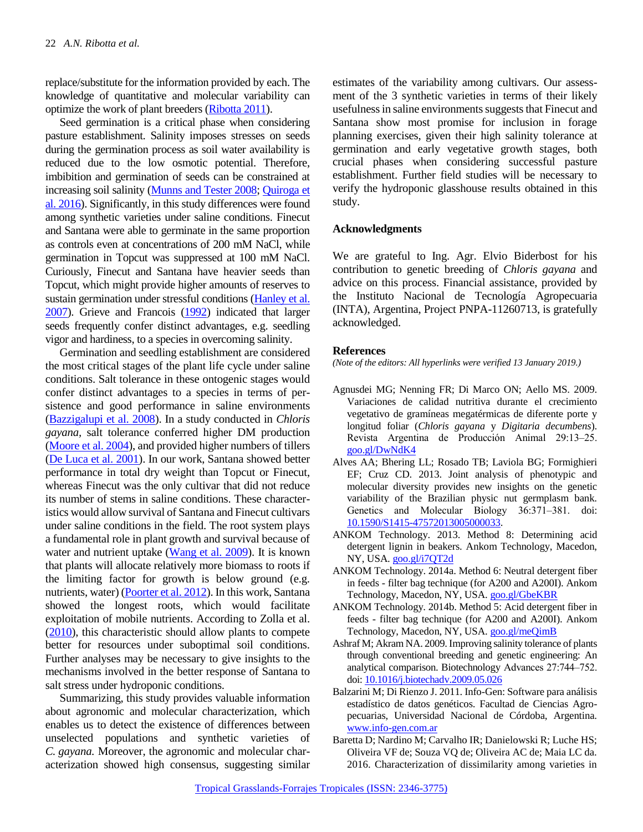replace/substitute for the information provided by each. The knowledge of quantitative and molecular variability can optimize the work of plant breeders [\(Ribotta 2011\)](#page-10-12).

Seed germination is a critical phase when considering pasture establishment. Salinity imposes stresses on seeds during the germination process as soil water availability is reduced due to the low osmotic potential. Therefore, imbibition and germination of seeds can be constrained at increasing soil salinity [\(Munns and Tester 2008;](#page-10-3) Quiroga et [al. 2016\)](#page-10-4). Significantly, in this study differences were found among synthetic varieties under saline conditions. Finecut and Santana were able to germinate in the same proportion as controls even at concentrations of 200 mM NaCl, while germination in Topcut was suppressed at 100 mM NaCl. Curiously, Finecut and Santana have heavier seeds than Topcut, which might provide higher amounts of reserves to sustain germination under stressful conditions [\(Hanley et al.](#page-9-22)  [2007\)](#page-9-22). Grieve and Francois [\(1992\)](#page-9-23) indicated that larger seeds frequently confer distinct advantages, e.g. seedling vigor and hardiness, to a species in overcoming salinity.

Germination and seedling establishment are considered the most critical stages of the plant life cycle under saline conditions. Salt tolerance in these ontogenic stages would confer distinct advantages to a species in terms of persistence and good performance in saline environments [\(Bazzigalupi et al. 2008\)](#page-9-5). In a study conducted in *Chloris gayana,* salt tolerance conferred higher DM production [\(Moore et al. 2004\)](#page-10-13), and provided higher numbers of tillers [\(De Luca et al. 2001\)](#page-9-6). In our work, Santana showed better performance in total dry weight than Topcut or Finecut, whereas Finecut was the only cultivar that did not reduce its number of stems in saline conditions. These characteristics would allow survival of Santana and Finecut cultivars under saline conditions in the field. The root system plays a fundamental role in plant growth and survival because of water and nutrient uptake [\(Wang et al. 2009\)](#page-10-14). It is known that plants will allocate relatively more biomass to roots if the limiting factor for growth is below ground (e.g. nutrients, water) [\(Poorter et al. 2012\)](#page-10-15). In this work, Santana showed the longest roots, which would facilitate exploitation of mobile nutrients. According to Zolla et al. [\(2010\)](#page-10-16), this characteristic should allow plants to compete better for resources under suboptimal soil conditions. Further analyses may be necessary to give insights to the mechanisms involved in the better response of Santana to salt stress under hydroponic conditions.

Summarizing, this study provides valuable information about agronomic and molecular characterization, which enables us to detect the existence of differences between unselected populations and synthetic varieties of *C. gayana.* Moreover, the agronomic and molecular characterization showed high consensus, suggesting similar estimates of the variability among cultivars. Our assessment of the 3 synthetic varieties in terms of their likely usefulness in saline environments suggests that Finecut and Santana show most promise for inclusion in forage planning exercises, given their high salinity tolerance at germination and early vegetative growth stages, both crucial phases when considering successful pasture establishment. Further field studies will be necessary to verify the hydroponic glasshouse results obtained in this study.

#### **Acknowledgments**

We are grateful to Ing. Agr. Elvio Biderbost for his contribution to genetic breeding of *Chloris gayana* and advice on this process. Financial assistance, provided by the Instituto Nacional de Tecnología Agropecuaria (INTA), Argentina, Project PNPA-11260713, is gratefully acknowledged.

#### **References**

*(Note of the editors: All hyperlinks were verified 13 January 2019.)*

- <span id="page-8-7"></span>Agnusdei MG; Nenning FR; Di Marco ON; Aello MS. 2009. Variaciones de calidad nutritiva durante el crecimiento vegetativo de gramíneas megatérmicas de diferente porte y longitud foliar (*Chloris gayana* y *Digitaria decumbens*). Revista Argentina de Producción Animal 29:13‒25. [goo.gl/DwNdK4](https://goo.gl/DwNdK4)
- <span id="page-8-1"></span>Alves AA; Bhering LL; Rosado TB; Laviola BG; Formighieri EF; Cruz CD. 2013. Joint analysis of phenotypic and molecular diversity provides new insights on the genetic variability of the Brazilian physic nut germplasm bank. Genetics and Molecular Biology 36:371-381. doi: [10.1590/S1415-47572013005000033.](https://dx.doi.org/10.1590%2FS1415-47572013005000033)
- <span id="page-8-5"></span>ANKOM Technology. 2013. Method 8: Determining acid detergent lignin in beakers. Ankom Technology, Macedon, NY, USA. [goo.gl/i7QT2d](https://goo.gl/i7QT2d)
- <span id="page-8-3"></span>ANKOM Technology. 2014a. Method 6: Neutral detergent fiber in feeds - filter bag technique (for A200 and A200I). Ankom Technology, Macedon, NY, USA. [goo.gl/GbeKBR](https://goo.gl/GbeKBR)
- <span id="page-8-4"></span>ANKOM Technology. 2014b. Method 5: Acid detergent fiber in feeds - filter bag technique (for A200 and A200I). Ankom Technology, Macedon, NY, USA. [goo.gl/meQimB](https://goo.gl/meQimB)
- <span id="page-8-2"></span>Ashraf M; Akram NA. 2009. Improving salinity tolerance of plants through conventional breeding and genetic engineering: An analytical comparison. Biotechnology Advances 27:744‒752. doi: [10.1016/j.biotechadv.2009.05.026](https://doi.org/10.1016/j.biotechadv.2009.05.026)
- <span id="page-8-6"></span>Balzarini M; Di Rienzo J. 2011. Info-Gen: Software para análisis estadístico de datos genéticos. Facultad de Ciencias Agropecuarias, Universidad Nacional de Córdoba, Argentina. [www.info-gen.com.ar](http://www.info-gen.com.ar/)
- <span id="page-8-0"></span>Baretta D; Nardino M; Carvalho IR; Danielowski R; Luche HS; Oliveira VF de; Souza VQ de; Oliveira AC de; Maia LC da. 2016. Characterization of dissimilarity among varieties in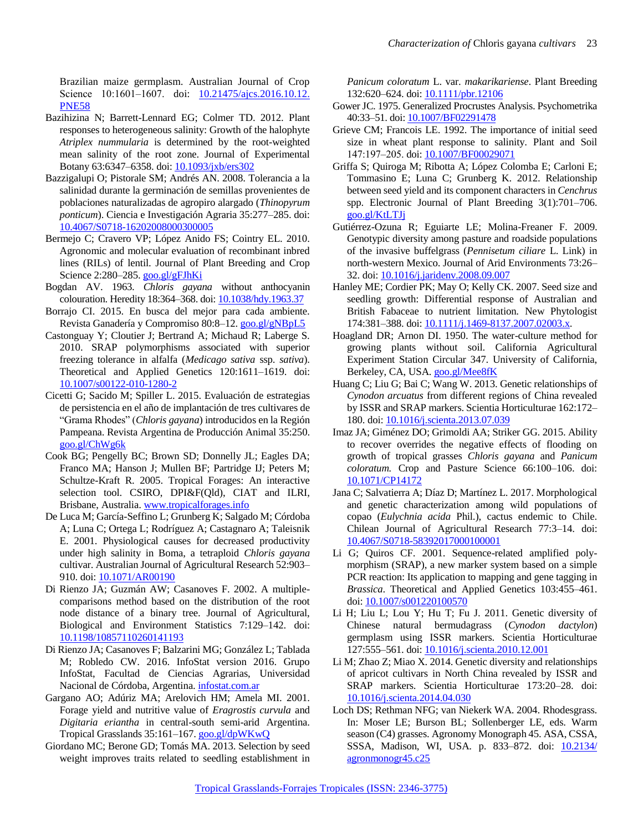Brazilian maize germplasm. Australian Journal of Crop Science 10:1601-1607. doi: [10.21475/ajcs.2016.10.12.](http://doi.org/10.21475/ajcs.2016.10.12.PNE58) [PNE58](http://doi.org/10.21475/ajcs.2016.10.12.PNE58)

- <span id="page-9-5"></span>Bazihizina N; Barrett-Lennard EG; Colmer TD. 2012. Plant responses to heterogeneous salinity: Growth of the halophyte *Atriplex nummularia* is determined by the root-weighted mean salinity of the root zone. Journal of Experimental Botany 63:6347‒6358. doi: [10.1093/jxb/ers302](https://doi.org/10.1093/jxb/ers302)
- Bazzigalupi O; Pistorale SM; Andrés AN. 2008. Tolerancia a la salinidad durante la germinación de semillas provenientes de poblaciones naturalizadas de agropiro alargado (*Thinopyrum ponticum*). Ciencia e Investigación Agraria 35:277–285. doi: [10.4067/S0718-16202008000300005](http://dx.doi.org/10.4067/S0718-16202008000300005)
- <span id="page-9-21"></span>Bermejo C; Cravero VP; López Anido FS; Cointry EL. 2010. Agronomic and molecular evaluation of recombinant inbred lines (RILs) of lentil. Journal of Plant Breeding and Crop Science 2:280–285. [goo.gl/gFJhKi](https://goo.gl/gFJhKi)
- <span id="page-9-1"></span>Bogdan AV. 1963. *Chloris gayana* without anthocyanin colouration. Heredity 18:364‒368. doi: [10.1038/hdy.1963.37](https://doi.org/10.1038/hdy.1963.37)
- <span id="page-9-17"></span>Borrajo CI. 2015. En busca del mejor para cada ambiente. Revista Ganadería y Compromiso 80:8–12. [goo.gl/gNBpL5](https://goo.gl/gNBpL5)
- <span id="page-9-8"></span>Castonguay Y; Cloutier J; Bertrand A; Michaud R; Laberge S. 2010. SRAP polymorphisms associated with superior freezing tolerance in alfalfa (*Medicago sativa* ssp. *sativa*). Theoretical and Applied Genetics 120:1611-1619. doi: [10.1007/s00122-010-1280-2](https://doi.org/10.1007/s00122-010-1280-2)
- <span id="page-9-15"></span>Cicetti G; Sacido M; Spiller L. 2015. Evaluación de estrategias de persistencia en el año de implantación de tres cultivares de "Grama Rhodes" (*Chloris gayana*) introducidos en la Región Pampeana. Revista Argentina de Producción Animal 35:250. [goo.gl/ChWg6k](https://goo.gl/ChWg6k)
- <span id="page-9-2"></span>Cook BG; Pengelly BC; Brown SD; Donnelly JL; Eagles DA; Franco MA; Hanson J; Mullen BF; Partridge IJ; Peters M; Schultze-Kraft R. 2005. Tropical Forages: An interactive selection tool. CSIRO, DPI&F(Qld), CIAT and ILRI, Brisbane, Australia. [www.tropicalforages.info](http://www.tropicalforages.info/)
- <span id="page-9-6"></span>De Luca M; García-Seffino L; Grunberg K; Salgado M; Córdoba A; Luna C; Ortega L; Rodríguez A; Castagnaro A; Taleisnik E. 2001. Physiological causes for decreased productivity under high salinity in Boma, a tetraploid *Chloris gayana* cultivar. Australian Journal of Agricultural Research 52:903-910. doi: [10.1071/AR00190](https://doi.org/10.1071/AR00190)
- Di Rienzo JA; Guzmán AW; Casanoves F. 2002. A multiplecomparisons method based on the distribution of the root node distance of a binary tree. Journal of Agricultural, Biological and Environment Statistics 7:129–142. doi: [10.1198/10857110260141193](https://doi.org/10.1198/10857110260141193)
- <span id="page-9-12"></span>Di Rienzo JA; Casanoves F; Balzarini MG; González L; Tablada M; Robledo CW. 2016. InfoStat version 2016. Grupo InfoStat, Facultad de Ciencias Agrarias, Universidad Nacional de Córdoba, Argentina[. infostat.com.ar](http://www.infostat.com.ar/)
- <span id="page-9-18"></span>Gargano AO; Adúriz MA; Arelovich HM; Amela MI. 2001. Forage yield and nutritive value of *Eragrostis curvula* and *Digitaria eriantha* in central-south semi-arid Argentina. Tropical Grasslands 35:161–167. [goo.gl/dpWKwQ](https://goo.gl/dpWKwQ)
- <span id="page-9-16"></span>Giordano MC; Berone GD; Tomás MA. 2013. Selection by seed weight improves traits related to seedling establishment in

*Panicum coloratum* L. var. *makarikariense*. Plant Breeding 132:620–624. doi: [10.1111/pbr.12106](https://doi.org/10.1111/pbr.12106)

- <span id="page-9-11"></span>Gower JC. 1975. Generalized Procrustes Analysis. Psychometrika 40:33-51. doi: [10.1007/BF02291478](https://doi.org/10.1007/BF02291478)
- <span id="page-9-23"></span>Grieve CM; Francois LE. 1992. The importance of initial seed size in wheat plant response to salinity. Plant and Soil 147:197‒205. doi: [10.1007/BF00029071](https://doi.org/10.1007/BF00029071)
- <span id="page-9-14"></span>Griffa S; Quiroga M; Ribotta A; López Colomba E; Carloni E; Tommasino E; Luna C; Grunberg K. 2012. Relationship between seed yield and its component characters in *Cenchrus* spp. Electronic Journal of Plant Breeding 3(1):701–706. [goo.gl/KtLTJj](https://goo.gl/KtLTJj)
- <span id="page-9-9"></span>Gutiérrez-Ozuna R; Eguiarte LE; Molina-Freaner F. 2009. Genotypic diversity among pasture and roadside populations of the invasive buffelgrass (*Pennisetum ciliare* L. Link) in north-western Mexico. Journal of Arid Environments 73:26– 32. doi: [10.1016/j.jaridenv.2008.09.007](https://doi.org/10.1016/j.jaridenv.2008.09.007)
- <span id="page-9-22"></span>Hanley ME; Cordier PK; May O; Kelly CK. 2007. Seed size and seedling growth: Differential response of Australian and British Fabaceae to nutrient limitation. New Phytologist 174:381-388. doi: [10.1111/j.1469-8137.2007.02003.x.](https://doi.org/10.1111/j.1469-8137.2007.02003.x)
- <span id="page-9-13"></span>Hoagland DR; Arnon DI. 1950. The water-culture method for growing plants without soil. California Agricultural Experiment Station Circular 347. University of California, Berkeley, CA, USA. [goo.gl/Mee8fK](https://goo.gl/Mee8fK)
- <span id="page-9-19"></span>Huang C; Liu G; Bai C; Wang W. 2013. Genetic relationships of *Cynodon arcuatus* from different regions of China revealed by ISSR and SRAP markers. Scientia Horticulturae 162:172– 180. doi: [10.1016/j.scienta.2013.07.039](https://doi.org/10.1016/j.scienta.2013.07.039)
- <span id="page-9-0"></span>Imaz JA; Giménez DO; Grimoldi AA; Striker GG. 2015. Ability to recover overrides the negative effects of flooding on growth of tropical grasses *Chloris gayana* and *Panicum coloratum.* Crop and Pasture Science 66:100-106. [doi:](https://doi.org/10.1071/CP14172) [10.1071/CP14172](https://doi.org/10.1071/CP14172)
- <span id="page-9-4"></span>Jana C; Salvatierra A; Díaz D; Martínez L. 2017. Morphological and genetic characterization among wild populations of copao (*Eulychnia acida* Phil.), cactus endemic to Chile. Chilean Journal of Agricultural Research 77:3-14. doi: [10.4067/S0718-58392017000100001](http://dx.doi.org/10.4067/S0718-58392017000100001)
- <span id="page-9-7"></span>Li G; Quiros CF. 2001. Sequence-related amplified polymorphism (SRAP), a new marker system based on a simple PCR reaction: Its application to mapping and gene tagging in Brassica. Theoretical and Applied Genetics 103:455-461. doi: [10.1007/s001220100570](https://doi.org/10.1007/s001220100570)
- <span id="page-9-10"></span>Li H; Liu L; Lou Y; Hu T; Fu J. 2011. Genetic diversity of Chinese natural bermudagrass (*Cynodon dactylon*) germplasm using ISSR markers. Scientia Horticulturae 127:555‒561. doi: [10.1016/j.scienta.2010.12.001](https://doi.org/10.1016/j.scienta.2010.12.001)
- <span id="page-9-20"></span>Li M; Zhao Z; Miao X. 2014. Genetic diversity and relationships of apricot cultivars in North China revealed by ISSR and SRAP markers. Scientia Horticulturae 173:20-28. doi: [10.1016/j.scienta.2014.04.030](https://doi.org/10.1016/j.scienta.2014.04.030)
- <span id="page-9-3"></span>Loch DS; Rethman NFG; van Niekerk WA. 2004. Rhodesgrass. In: Moser LE; Burson BL; Sollenberger LE, eds. Warm season (C4) grasses. Agronomy Monograph 45. ASA, CSSA, SSSA, Madison, WI, USA. p. 833–872. doi: [10.2134/](http://dx.doi.org/10.2134/agronmonogr45.c25) [agronmonogr45.c25](http://dx.doi.org/10.2134/agronmonogr45.c25)